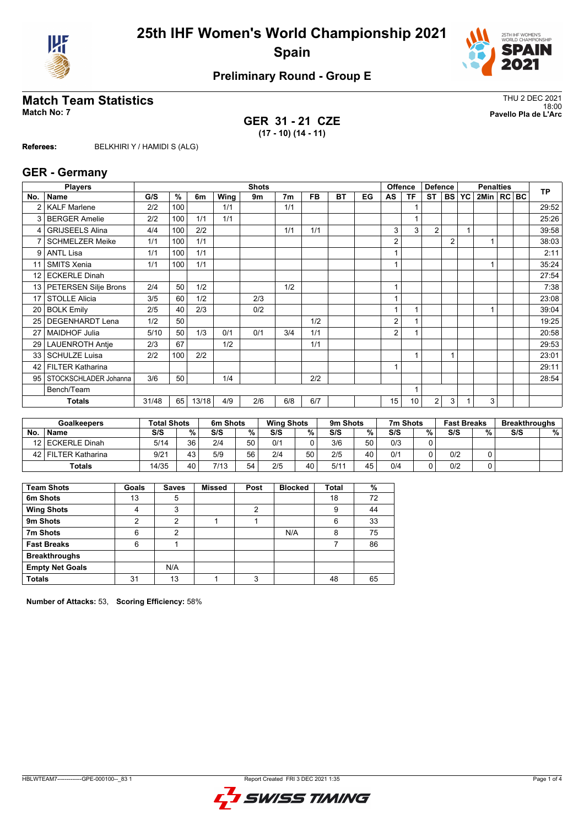



# **Match Team Statistics** Thus and the statistics of the statistics of the statistics of the statistics of the statistics of the statistics of the statistics of the statistics of the statistics of the statistics of the stati

**GER 31 - 21 CZE (17 - 10) (14 - 11)**

18:00 **Match No: 7 Pavello Pla de L'Arc**

**Referees:** BELKHIRI Y / HAMIDI S (ALG)

#### **GER - Germany**

|                 | <b>Players</b>           |       |     |       |      | <b>Shots</b> |                |           |           |    |    | <b>Offence</b> | <b>Defence</b> |                |              | <b>Penalties</b> |  | <b>TP</b> |
|-----------------|--------------------------|-------|-----|-------|------|--------------|----------------|-----------|-----------|----|----|----------------|----------------|----------------|--------------|------------------|--|-----------|
| No.             | Name                     | G/S   | %   | 6m    | Wing | 9m           | 7 <sub>m</sub> | <b>FB</b> | <b>BT</b> | EG | AS | <b>TF</b>      | <b>ST</b>      |                | <b>BS YC</b> | 2Min   RC   BC   |  |           |
| 2               | <b>KALF Marlene</b>      | 2/2   | 100 |       | 1/1  |              | 1/1            |           |           |    |    |                |                |                |              |                  |  | 29:52     |
| 3               | <b>BERGER Amelie</b>     | 2/2   | 100 | 1/1   | 1/1  |              |                |           |           |    |    |                |                |                |              |                  |  | 25:26     |
| 4               | <b>GRIJSEELS Alina</b>   | 4/4   | 100 | 2/2   |      |              | 1/1            | 1/1       |           |    | 3  | 3              | $\overline{2}$ |                |              |                  |  | 39:58     |
| 7               | <b>SCHMELZER Meike</b>   | 1/1   | 100 | 1/1   |      |              |                |           |           |    | 2  |                |                | $\overline{2}$ |              |                  |  | 38:03     |
| 9               | <b>ANTL Lisa</b>         | 1/1   | 100 | 1/1   |      |              |                |           |           |    |    |                |                |                |              |                  |  | 2:11      |
| 11              | <b>SMITS Xenia</b>       | 1/1   | 100 | 1/1   |      |              |                |           |           |    |    |                |                |                |              |                  |  | 35:24     |
| 12 <sub>1</sub> | <b>ECKERLE Dinah</b>     |       |     |       |      |              |                |           |           |    |    |                |                |                |              |                  |  | 27:54     |
|                 | 13 PETERSEN Silje Brons  | 2/4   | 50  | 1/2   |      |              | 1/2            |           |           |    | 1  |                |                |                |              |                  |  | 7:38      |
| 17              | <b>STOLLE Alicia</b>     | 3/5   | 60  | 1/2   |      | 2/3          |                |           |           |    |    |                |                |                |              |                  |  | 23:08     |
| 20              | <b>BOLK Emily</b>        | 2/5   | 40  | 2/3   |      | 0/2          |                |           |           |    |    |                |                |                |              |                  |  | 39:04     |
| 25 <sub>1</sub> | <b>DEGENHARDT Lena</b>   | 1/2   | 50  |       |      |              |                | 1/2       |           |    | 2  |                |                |                |              |                  |  | 19:25     |
| 27              | <b>MAIDHOF Julia</b>     | 5/10  | 50  | 1/3   | 0/1  | 0/1          | 3/4            | 1/1       |           |    | 2  |                |                |                |              |                  |  | 20:58     |
| 29 <sub>1</sub> | <b>LAUENROTH Antje</b>   | 2/3   | 67  |       | 1/2  |              |                | 1/1       |           |    |    |                |                |                |              |                  |  | 29:53     |
| 33              | <b>SCHULZE Luisa</b>     | 2/2   | 100 | 2/2   |      |              |                |           |           |    |    | 1              |                |                |              |                  |  | 23:01     |
| 42 <sub>1</sub> | FILTER Katharina         |       |     |       |      |              |                |           |           |    | 1  |                |                |                |              |                  |  | 29:11     |
|                 | 95 STOCKSCHLADER Johanna | 3/6   | 50  |       | 1/4  |              |                | 2/2       |           |    |    |                |                |                |              |                  |  | 28:54     |
|                 | Bench/Team               |       |     |       |      |              |                |           |           |    |    |                |                |                |              |                  |  |           |
|                 | <b>Totals</b>            | 31/48 | 65  | 13/18 | 4/9  | 2/6          | 6/8            | 6/7       |           |    | 15 | 10             | $\overline{2}$ | 3              |              | 3                |  |           |

| <b>Goalkeepers</b> |                  | <b>Total Shots</b> |      | 6m Shots |    |     | <b>Wing Shots</b> |      | 9m Shots |     | 7m Shots | <b>Fast Breaks</b> |   | <b>Breakthroughs</b> |   |
|--------------------|------------------|--------------------|------|----------|----|-----|-------------------|------|----------|-----|----------|--------------------|---|----------------------|---|
| No                 | <b>Name</b>      | S/S                | $\%$ | S/S      | %  | S/S | %                 | S/S  | %        | S/S | %        | S/S                | % | S/S                  | % |
|                    | 12 ECKERLE Dinah | 5/14               | 36   | 2/4      | 50 | 0/1 |                   | 3/6  | 50       | 0/3 |          |                    |   |                      |   |
| 42 I               | FILTER Katharina | 9/21               | 43   | 5/9      | 56 | 2/4 | 50                | 2/5  | 40       | 0/1 |          | 0/2                |   |                      |   |
|                    | <b>Totals</b>    | 14/35              | 40   | 7/13     | 54 | 2/5 | 40                | 5/11 | 45       | 0/4 |          | 0/2                |   |                      |   |

| <b>Team Shots</b>      | Goals | <b>Saves</b> | <b>Missed</b> | Post | <b>Blocked</b> | <b>Total</b> | %  |
|------------------------|-------|--------------|---------------|------|----------------|--------------|----|
| 6m Shots               | 13    | 5            |               |      |                | 18           | 72 |
| <b>Wing Shots</b>      | 4     | 3            |               | റ    |                | 9            | 44 |
| 9m Shots               | 2     | 2            |               |      |                | 6            | 33 |
| 7m Shots               | 6     | 2            |               |      | N/A            | 8            | 75 |
| <b>Fast Breaks</b>     | 6     |              |               |      |                |              | 86 |
| <b>Breakthroughs</b>   |       |              |               |      |                |              |    |
| <b>Empty Net Goals</b> |       | N/A          |               |      |                |              |    |
| <b>Totals</b>          | 31    | 13           |               | 3    |                | 48           | 65 |

**Number of Attacks:** 53, **Scoring Efficiency:** 58%

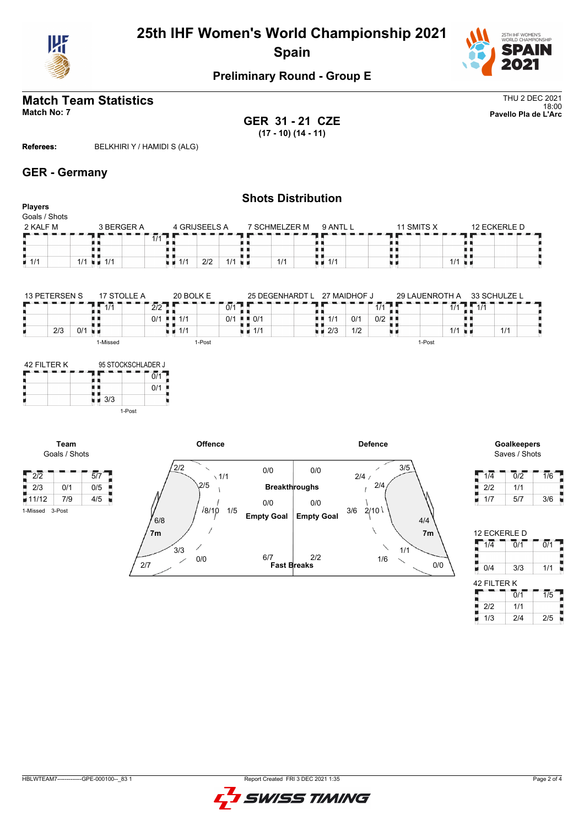



#### **Match Team Statistics** Thus a strategies of the strategies of the strategies of the strategies of the strategies of the strategies of the strategies of the strategies of the strategies of the strategies of the strategies 18:00 **Match No: 7 Pavello Pla de L'Arc**

**GER 31 - 21 CZE (17 - 10) (14 - 11)**

**Referees:** BELKHIRI Y / HAMIDI S (ALG)

#### **GER - Germany**

#### **Shots Distribution Players** Goals / Shots  $2$  KALF M  $3$  BERGER A 4 GRIJSEELS A 7 SCHMELZER M 9 ANTL L 11 SMITS X 12 ECKERLE D 1/1 | | п п  $\frac{1}{1/1}$ 1 ||<br>| ||<br>| || || || Ē, 89 ₿ 0 n 88 I)  $\frac{1}{1/1}$  1/1  $\frac{1}{1/1}$  $1/1$  2/2 1/1 1/1 1/1 u d

| 13 PFTFRSFN S | 17 STOLLE A | 20 BOLK E                         | 25 DEGENHARDT L                          | 27 MAIDHOF J              | 29 LAUENROTH A       | 33 SCHULZE L           |
|---------------|-------------|-----------------------------------|------------------------------------------|---------------------------|----------------------|------------------------|
|               | 1/1         | $\overline{2/2}$                  | 0/1                                      |                           | 1/1                  | $\overline{11}$<br>1/1 |
|               |             | $0/1$ $\blacksquare$ 1/1          | $\blacksquare$ $\blacksquare$ 0/1<br>0/1 | 0/1<br>1/1<br>n n         | $0/2$ $\blacksquare$ |                        |
| 0/1<br>2/3    | and the     | $\blacksquare$ $\blacksquare$ 1/1 | $\blacksquare$ 1/1                       | 1/2<br>$\blacksquare$ 2/3 |                      | 1/1<br>1/1             |
|               | -Missed     | I-Post                            |                                          |                           | 1-Post               |                        |

| 42 FILTER K |        | 95 STOCKSCHLADER J |  |  |  |  |  |  |  |
|-------------|--------|--------------------|--|--|--|--|--|--|--|
|             |        | 0/1                |  |  |  |  |  |  |  |
|             |        | 0/1                |  |  |  |  |  |  |  |
|             | 3/3    |                    |  |  |  |  |  |  |  |
|             | 1-Post |                    |  |  |  |  |  |  |  |

1-Missed 3-Post



Saves / Shots

| 1/4 | 0/2 | 1/6 |
|-----|-----|-----|
| 2/2 | 1/1 |     |
| 1/7 | 5/7 | 3/6 |

| 12 ECKERLE D |                             |                  |
|--------------|-----------------------------|------------------|
| 1/4          | $\overline{0}/\overline{1}$ | $\overline{0/1}$ |
|              |                             |                  |
| 0/4          | 3/3                         | 1/1              |
| 42 FILTER K  |                             |                  |
|              | $\overline{0}/1$            | $\overline{1/5}$ |
| 2/2          | 1/1                         |                  |
| 1/3          | 2/4                         | 2/5              |

| . . |  |  |
|-----|--|--|
|     |  |  |

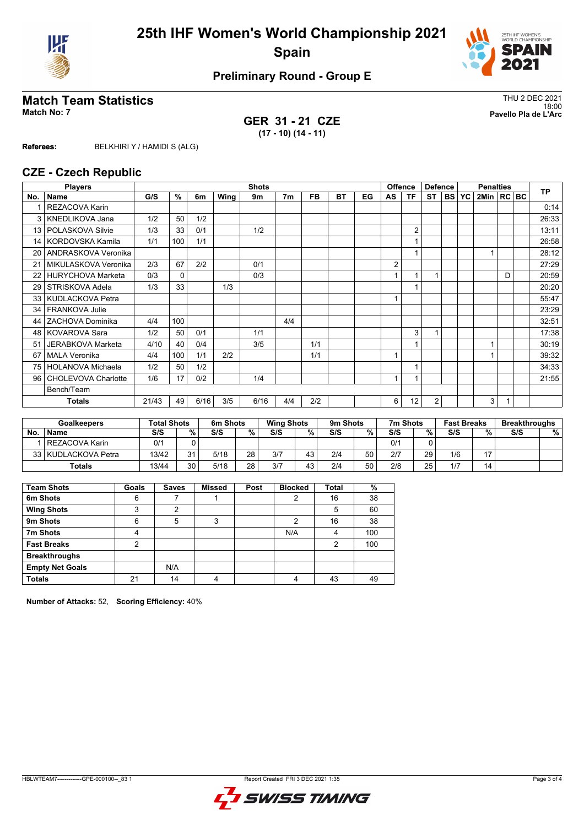



# **Match Team Statistics** Thus and the statistics of the statistics of the statistics of the statistics of the statistics of the statistics of the statistics of the statistics of the statistics of the statistics of the stati

**GER 31 - 21 CZE (17 - 10) (14 - 11)**

18:00 **Match No: 7 Pavello Pla de L'Arc**

**Referees:** BELKHIRI Y / HAMIDI S (ALG)

#### **CZE - Czech Republic**

| <b>Players</b>  |                          |       |          |      |      | <b>Shots</b> |                |           |    |    |              | <b>Offence</b> | <b>Defence</b> |        |           | <b>Penalties</b> |   | <b>TP</b> |
|-----------------|--------------------------|-------|----------|------|------|--------------|----------------|-----------|----|----|--------------|----------------|----------------|--------|-----------|------------------|---|-----------|
| No.             | Name                     | G/S   | %        | 6m   | Wing | 9m           | 7 <sub>m</sub> | <b>FB</b> | BT | EG | AS           | ΤF             | ST             | I BS I | <b>YC</b> | 2Min   RC BC     |   |           |
|                 | <b>REZACOVA Karin</b>    |       |          |      |      |              |                |           |    |    |              |                |                |        |           |                  |   | 0:14      |
| 3               | <b>KNEDLIKOVA Jana</b>   | 1/2   | 50       | 1/2  |      |              |                |           |    |    |              |                |                |        |           |                  |   | 26:33     |
| 13              | POLASKOVA Silvie         | 1/3   | 33       | 0/1  |      | 1/2          |                |           |    |    |              | $\overline{2}$ |                |        |           |                  |   | 13:11     |
| 14              | KORDOVSKA Kamila         | 1/1   | 100      | 1/1  |      |              |                |           |    |    |              | 1              |                |        |           |                  |   | 26:58     |
| 20              | ANDRASKOVA Veronika      |       |          |      |      |              |                |           |    |    |              |                |                |        |           |                  |   | 28:12     |
| 21              | MIKULASKOVA Veronika     | 2/3   | 67       | 2/2  |      | 0/1          |                |           |    |    | 2            |                |                |        |           |                  |   | 27:29     |
| 22              | <b>HURYCHOVA Marketa</b> | 0/3   | $\Omega$ |      |      | 0/3          |                |           |    |    |              | 1              |                |        |           |                  | D | 20:59     |
| 29              | STRISKOVA Adela          | 1/3   | 33       |      | 1/3  |              |                |           |    |    |              |                |                |        |           |                  |   | 20:20     |
| 33 <sup>1</sup> | KUDLACKOVA Petra         |       |          |      |      |              |                |           |    |    | 1            |                |                |        |           |                  |   | 55:47     |
| 34              | FRANKOVA Julie           |       |          |      |      |              |                |           |    |    |              |                |                |        |           |                  |   | 23:29     |
| 44              | ZACHOVA Dominika         | 4/4   | 100      |      |      |              | 4/4            |           |    |    |              |                |                |        |           |                  |   | 32:51     |
| 48              | <b>KOVAROVA Sara</b>     | 1/2   | 50       | 0/1  |      | 1/1          |                |           |    |    |              | 3              |                |        |           |                  |   | 17:38     |
| 51              | JERABKOVA Marketa        | 4/10  | 40       | 0/4  |      | 3/5          |                | 1/1       |    |    |              |                |                |        |           |                  |   | 30:19     |
| 67              | <b>MALA Veronika</b>     | 4/4   | 100      | 1/1  | 2/2  |              |                | 1/1       |    |    | 1            |                |                |        |           |                  |   | 39:32     |
| 75              | HOLANOVA Michaela        | 1/2   | 50       | 1/2  |      |              |                |           |    |    |              | 1              |                |        |           |                  |   | 34:33     |
| 96              | CHOLEVOVA Charlotte      | 1/6   | 17       | 0/2  |      | 1/4          |                |           |    |    | $\mathbf{1}$ |                |                |        |           |                  |   | 21:55     |
|                 | Bench/Team               |       |          |      |      |              |                |           |    |    |              |                |                |        |           |                  |   |           |
|                 | <b>Totals</b>            | 21/43 | 49       | 6/16 | 3/5  | 6/16         | 4/4            | 2/2       |    |    | 6            | 12             | $\overline{2}$ |        |           | 3                |   |           |

| <b>Goalkeepers</b> |                     | <b>Total Shots</b> |      | 6m Shots |    |     | <b>Wing Shots</b> |     | 9m Shots | 7m Shots |    | <b>Fast Breaks</b> |    | <b>Breakthroughs</b> |   |
|--------------------|---------------------|--------------------|------|----------|----|-----|-------------------|-----|----------|----------|----|--------------------|----|----------------------|---|
| <b>No</b>          | <b>Name</b>         | S/S                | $\%$ | S/S      | %  | S/S | %                 | S/S | %        | S/S      | %  | S/S                | %  | S/S                  | % |
|                    | l REZACOVA Karin    | 0/1                |      |          |    |     |                   |     |          | 0/1      |    |                    |    |                      |   |
|                    | 33 KUDLACKOVA Petra | 13/42              | 21   | 5/18     | 28 | 3/7 | 43                | 2/4 | 50       | 2/7      | 29 | 1/6                | 17 |                      |   |
|                    | <b>Totals</b>       | 13/44              | 30   | 5/18     | 28 | 3/7 | 43                | 2/4 | 50       | 2/8      | 25 | 1/7                | 14 |                      |   |

| <b>Team Shots</b>      | Goals | <b>Saves</b> | <b>Missed</b> | Post | <b>Blocked</b> | <b>Total</b> | %   |
|------------------------|-------|--------------|---------------|------|----------------|--------------|-----|
| 6m Shots               | 6     |              |               |      | 2              | 16           | 38  |
| <b>Wing Shots</b>      | 3     | 2            |               |      |                | 5            | 60  |
| 9m Shots               | 6     | 5            | 3             |      | 2              | 16           | 38  |
| 7m Shots               | 4     |              |               |      | N/A            | 4            | 100 |
| <b>Fast Breaks</b>     | 2     |              |               |      |                | 2            | 100 |
| <b>Breakthroughs</b>   |       |              |               |      |                |              |     |
| <b>Empty Net Goals</b> |       | N/A          |               |      |                |              |     |
| <b>Totals</b>          | 21    | 14           | 4             |      | $\Lambda$      | 43           | 49  |

**Number of Attacks:** 52, **Scoring Efficiency:** 40%